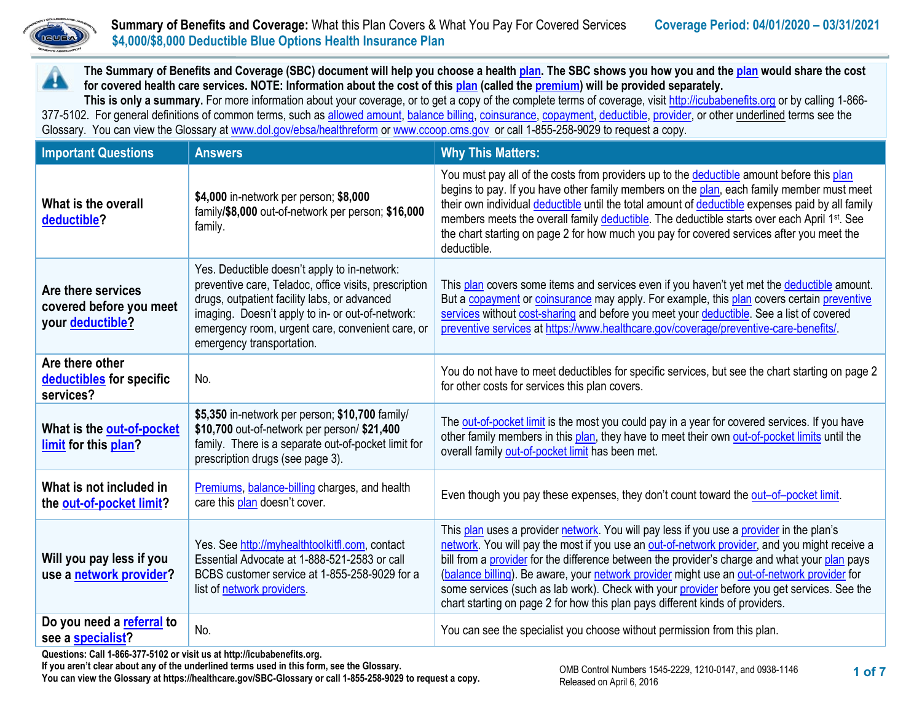

## **Summary of Benefits and Coverage:** What this Plan Covers & What You Pay For Covered Services **Coverage Period: 04/01/2020 – 03/31/2021**<br> **Coverage Period: 04/01/2020 – 03/31/2021 \$4,000/\$8,000 Deductible Blue Options Health Insurance Plan**

**The Summary of Benefits and Coverage (SBC) document will help you choose a health [plan.](https://www.healthcare.gov/sbc-glossary/#plan) The SBC shows you how you and th[e plan](https://www.healthcare.gov/sbc-glossary/#plan) would share the cost**  A **for covered health care services. NOTE: Information about the cost of thi[s plan](https://www.healthcare.gov/sbc-glossary/#plan) (called th[e premium\)](https://www.healthcare.gov/sbc-glossary/#premium) will be provided separately.**

**This is only a summary.** For more information about your coverage, or to get a copy of the complete terms of coverage, visi[t http://icubabenefits.org](http://icubabenefits.org/) or by calling 1-866 377-5102. For general definitions of common terms, such a[s allowed amount,](https://www.healthcare.gov/sbc-glossary/#allowed-amount) [balance billing,](https://www.healthcare.gov/sbc-glossary/#balance-billing) [coinsurance,](https://www.healthcare.gov/sbc-glossary/#coinsurance) [copayment,](https://www.healthcare.gov/sbc-glossary/#copayment) [deductible,](https://www.healthcare.gov/sbc-glossary/#deductible) [provider,](https://www.healthcare.gov/sbc-glossary/#provider) or other underlined terms see the Glossary. You can view the Glossary a[t www.dol.gov/ebsa/healthreform](http://www.dol.gov/ebsa/healthreform) or [www.ccoop.cms.gov](http://www.ccoop.cms.gov/) or call 1-855-258-9029 to request a copy.

| <b>Important Questions</b>                                                                                       | <b>Answers</b>                                                                                                                                                                                                                                                                             | <b>Why This Matters:</b>                                                                                                                                                                                                                                                                                                                                                                                                                                                                                                                                                  |
|------------------------------------------------------------------------------------------------------------------|--------------------------------------------------------------------------------------------------------------------------------------------------------------------------------------------------------------------------------------------------------------------------------------------|---------------------------------------------------------------------------------------------------------------------------------------------------------------------------------------------------------------------------------------------------------------------------------------------------------------------------------------------------------------------------------------------------------------------------------------------------------------------------------------------------------------------------------------------------------------------------|
| What is the overall<br>deductible?                                                                               | \$4,000 in-network per person; \$8,000<br>family/\$8,000 out-of-network per person; \$16,000<br>family.                                                                                                                                                                                    | You must pay all of the costs from providers up to the deductible amount before this plan<br>begins to pay. If you have other family members on the plan, each family member must meet<br>their own individual deductible until the total amount of deductible expenses paid by all family<br>members meets the overall family deductible. The deductible starts over each April 1 <sup>st</sup> . See<br>the chart starting on page 2 for how much you pay for covered services after you meet the<br>deductible.                                                        |
| Are there services<br>covered before you meet<br>your deductible?                                                | Yes. Deductible doesn't apply to in-network:<br>preventive care, Teladoc, office visits, prescription<br>drugs, outpatient facility labs, or advanced<br>imaging. Doesn't apply to in- or out-of-network:<br>emergency room, urgent care, convenient care, or<br>emergency transportation. | This plan covers some items and services even if you haven't yet met the deductible amount.<br>But a copayment or coinsurance may apply. For example, this plan covers certain preventive<br>services without cost-sharing and before you meet your deductible. See a list of covered<br>preventive services at https://www.healthcare.gov/coverage/preventive-care-benefits/.                                                                                                                                                                                            |
| Are there other<br>deductibles for specific<br>services?                                                         | No.                                                                                                                                                                                                                                                                                        | You do not have to meet deductibles for specific services, but see the chart starting on page 2<br>for other costs for services this plan covers.                                                                                                                                                                                                                                                                                                                                                                                                                         |
| What is the out-of-pocket<br>limit for this plan?                                                                | \$5,350 in-network per person; \$10,700 family/<br>\$10,700 out-of-network per person/ \$21,400<br>family. There is a separate out-of-pocket limit for<br>prescription drugs (see page 3).                                                                                                 | The out-of-pocket limit is the most you could pay in a year for covered services. If you have<br>other family members in this plan, they have to meet their own out-of-pocket limits until the<br>overall family out-of-pocket limit has been met.                                                                                                                                                                                                                                                                                                                        |
| What is not included in<br>the out-of-pocket limit?                                                              | Premiums, balance-billing charges, and health<br>care this plan doesn't cover.                                                                                                                                                                                                             | Even though you pay these expenses, they don't count toward the out-of-pocket limit.                                                                                                                                                                                                                                                                                                                                                                                                                                                                                      |
| Will you pay less if you<br>use a network provider?                                                              | Yes. See http://myhealthtoolkitfl.com, contact<br>Essential Advocate at 1-888-521-2583 or call<br>BCBS customer service at 1-855-258-9029 for a<br>list of network providers.                                                                                                              | This plan uses a provider network. You will pay less if you use a provider in the plan's<br>network. You will pay the most if you use an out-of-network provider, and you might receive a<br>bill from a provider for the difference between the provider's charge and what your plan pays<br>(balance billing). Be aware, your network provider might use an out-of-network provider for<br>some services (such as lab work). Check with your provider before you get services. See the<br>chart starting on page 2 for how this plan pays different kinds of providers. |
| Do you need a referral to<br>see a specialist?<br>ctionar Oall 4,000,077,5409 curright up of letterliershoppedit | No.                                                                                                                                                                                                                                                                                        | You can see the specialist you choose without permission from this plan.                                                                                                                                                                                                                                                                                                                                                                                                                                                                                                  |

**Questions: Call 1-866-377-5102 or visit us at http://icubabenefits.org.** 

**If you aren't clear about any of the underlined terms used in this form, see the Glossary. You can view the Glossary at https://healthcare.gov/SBC-Glossary or call 1-855-258-9029 to request a copy.**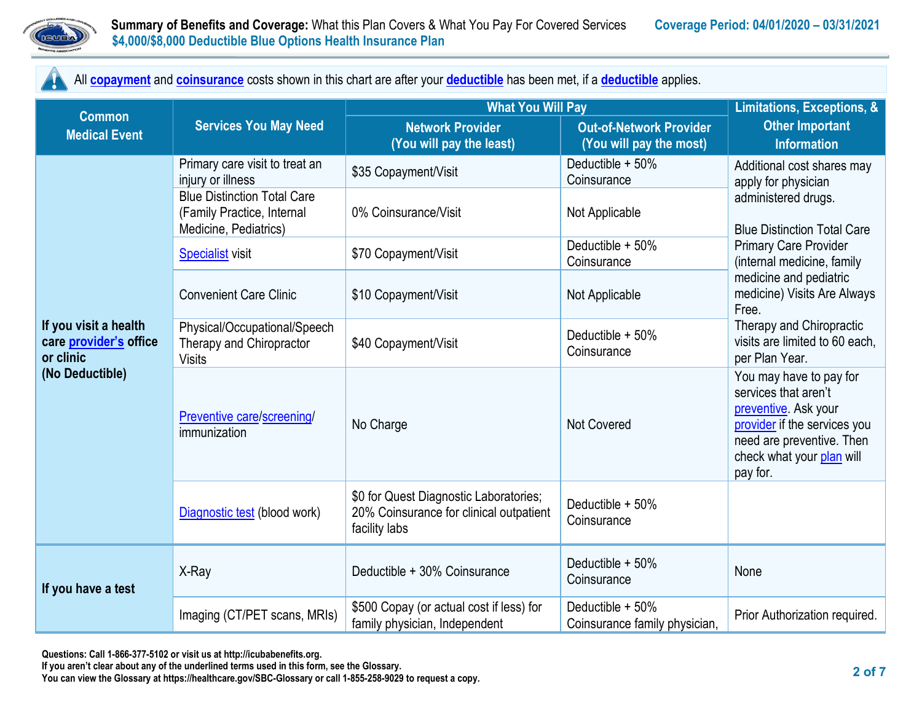

All **[copayment](https://www.healthcare.gov/sbc-glossary/#copayment)** and **[coinsurance](https://www.healthcare.gov/sbc-glossary/#coinsurance)** costs shown in this chart are after your **[deductible](https://www.healthcare.gov/sbc-glossary/#deductible)** has been met, if a **[deductible](https://www.healthcare.gov/sbc-glossary/#deductible)** applies.

|                                                                                 | <b>Services You May Need</b>                                                              | <b>What You Will Pay</b>                                                                           | Limitations, Exceptions, &                                |                                                                                                                                                                               |  |
|---------------------------------------------------------------------------------|-------------------------------------------------------------------------------------------|----------------------------------------------------------------------------------------------------|-----------------------------------------------------------|-------------------------------------------------------------------------------------------------------------------------------------------------------------------------------|--|
| <b>Common</b><br><b>Medical Event</b>                                           |                                                                                           | <b>Network Provider</b><br>(You will pay the least)                                                | <b>Out-of-Network Provider</b><br>(You will pay the most) | <b>Other Important</b><br><b>Information</b>                                                                                                                                  |  |
|                                                                                 | Primary care visit to treat an<br>injury or illness                                       | \$35 Copayment/Visit                                                                               | Deductible + 50%<br>Coinsurance                           | Additional cost shares may<br>apply for physician                                                                                                                             |  |
|                                                                                 | <b>Blue Distinction Total Care</b><br>(Family Practice, Internal<br>Medicine, Pediatrics) | 0% Coinsurance/Visit                                                                               | Not Applicable                                            | administered drugs.<br><b>Blue Distinction Total Care</b>                                                                                                                     |  |
|                                                                                 | <b>Specialist visit</b>                                                                   | \$70 Copayment/Visit                                                                               | Deductible + 50%<br>Coinsurance                           | <b>Primary Care Provider</b><br>(internal medicine, family                                                                                                                    |  |
|                                                                                 | <b>Convenient Care Clinic</b>                                                             | \$10 Copayment/Visit                                                                               | Not Applicable                                            | medicine and pediatric<br>medicine) Visits Are Always<br>Free.                                                                                                                |  |
| If you visit a health<br>care provider's office<br>or clinic<br>(No Deductible) | Physical/Occupational/Speech<br>Therapy and Chiropractor<br><b>Visits</b>                 | \$40 Copayment/Visit                                                                               | Deductible + 50%<br>Coinsurance                           | Therapy and Chiropractic<br>visits are limited to 60 each,<br>per Plan Year.                                                                                                  |  |
|                                                                                 | Preventive care/screening/<br>immunization                                                | No Charge                                                                                          | Not Covered                                               | You may have to pay for<br>services that aren't<br>preventive. Ask your<br>provider if the services you<br>need are preventive. Then<br>check what your plan will<br>pay for. |  |
|                                                                                 | Diagnostic test (blood work)                                                              | \$0 for Quest Diagnostic Laboratories;<br>20% Coinsurance for clinical outpatient<br>facility labs | Deductible + 50%<br>Coinsurance                           |                                                                                                                                                                               |  |
| If you have a test                                                              | X-Ray                                                                                     | Deductible + 30% Coinsurance                                                                       | Deductible + 50%<br>Coinsurance                           | None                                                                                                                                                                          |  |
|                                                                                 | Imaging (CT/PET scans, MRIs)                                                              | \$500 Copay (or actual cost if less) for<br>family physician, Independent                          | Deductible + 50%<br>Coinsurance family physician,         | Prior Authorization required.                                                                                                                                                 |  |

**If you aren't clear about any of the underlined terms used in this form, see the Glossary.**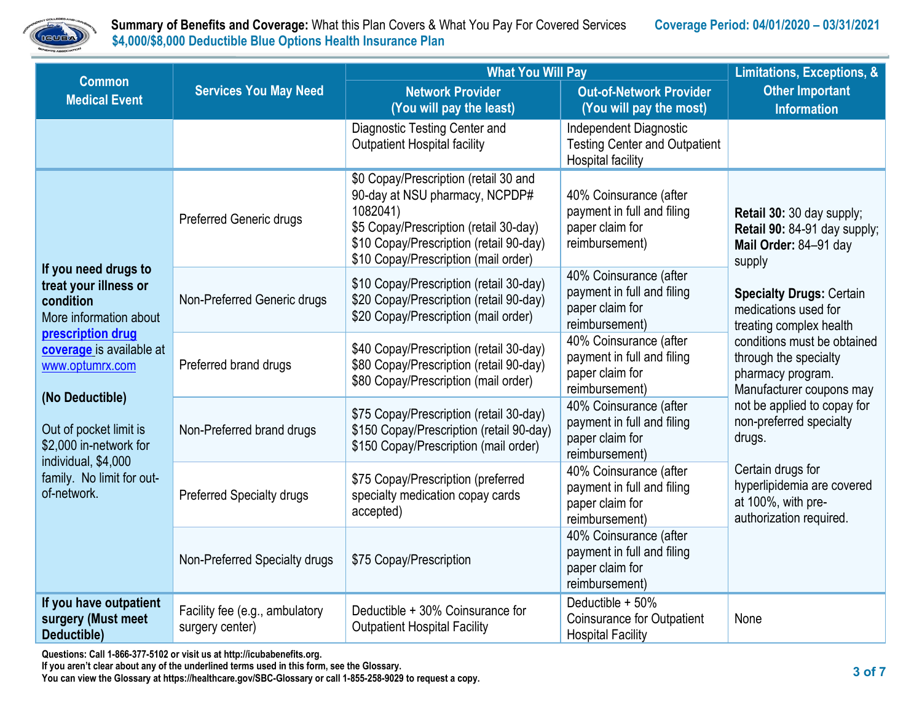

 **Summary of Benefits and Coverage:** What this Plan Covers & What You Pay For Covered Services **Coverage Period: 04/01/2020 – 03/31/2021 EUEAV** \$4,000/\$8,000 Deductible Blue Options Health Insurance Plan

|                                                                                                                                                                                                            |                                                   | <b>What You Will Pay</b>                                                                                                                                                                                         |                                                                                            |                                                                                                                                                                                    |  |
|------------------------------------------------------------------------------------------------------------------------------------------------------------------------------------------------------------|---------------------------------------------------|------------------------------------------------------------------------------------------------------------------------------------------------------------------------------------------------------------------|--------------------------------------------------------------------------------------------|------------------------------------------------------------------------------------------------------------------------------------------------------------------------------------|--|
| <b>Common</b><br><b>Medical Event</b>                                                                                                                                                                      | <b>Services You May Need</b>                      | <b>Network Provider</b><br>(You will pay the least)                                                                                                                                                              | <b>Out-of-Network Provider</b><br>(You will pay the most)                                  | <b>Other Important</b><br><b>Information</b>                                                                                                                                       |  |
|                                                                                                                                                                                                            |                                                   | Diagnostic Testing Center and<br><b>Outpatient Hospital facility</b>                                                                                                                                             | Independent Diagnostic<br><b>Testing Center and Outpatient</b><br><b>Hospital facility</b> |                                                                                                                                                                                    |  |
|                                                                                                                                                                                                            | <b>Preferred Generic drugs</b>                    | \$0 Copay/Prescription (retail 30 and<br>90-day at NSU pharmacy, NCPDP#<br>1082041)<br>\$5 Copay/Prescription (retail 30-day)<br>\$10 Copay/Prescription (retail 90-day)<br>\$10 Copay/Prescription (mail order) | 40% Coinsurance (after<br>payment in full and filing<br>paper claim for<br>reimbursement)  | Retail 30: 30 day supply;<br>Retail 90: 84-91 day supply;<br>Mail Order: 84-91 day<br>supply<br><b>Specialty Drugs: Certain</b><br>medications used for<br>treating complex health |  |
| If you need drugs to<br>treat your illness or<br>condition<br>More information about                                                                                                                       | Non-Preferred Generic drugs                       | \$10 Copay/Prescription (retail 30-day)<br>\$20 Copay/Prescription (retail 90-day)<br>\$20 Copay/Prescription (mail order)                                                                                       | 40% Coinsurance (after<br>payment in full and filing<br>paper claim for<br>reimbursement)  |                                                                                                                                                                                    |  |
| prescription drug<br>coverage is available at<br>www.optumrx.com<br>(No Deductible)<br>Out of pocket limit is<br>\$2,000 in-network for<br>individual, \$4,000<br>family. No limit for out-<br>of-network. | Preferred brand drugs                             | \$40 Copay/Prescription (retail 30-day)<br>\$80 Copay/Prescription (retail 90-day)<br>\$80 Copay/Prescription (mail order)                                                                                       | 40% Coinsurance (after<br>payment in full and filing<br>paper claim for<br>reimbursement)  | conditions must be obtained<br>through the specialty<br>pharmacy program.<br>Manufacturer coupons may                                                                              |  |
|                                                                                                                                                                                                            | Non-Preferred brand drugs                         | \$75 Copay/Prescription (retail 30-day)<br>\$150 Copay/Prescription (retail 90-day)<br>\$150 Copay/Prescription (mail order)                                                                                     | 40% Coinsurance (after<br>payment in full and filing<br>paper claim for<br>reimbursement)  | not be applied to copay for<br>non-preferred specialty<br>drugs.                                                                                                                   |  |
|                                                                                                                                                                                                            | <b>Preferred Specialty drugs</b>                  | \$75 Copay/Prescription (preferred<br>specialty medication copay cards<br>accepted)                                                                                                                              | 40% Coinsurance (after<br>payment in full and filing<br>paper claim for<br>reimbursement)  | Certain drugs for<br>hyperlipidemia are covered<br>at 100%, with pre-<br>authorization required.                                                                                   |  |
|                                                                                                                                                                                                            | Non-Preferred Specialty drugs                     | \$75 Copay/Prescription                                                                                                                                                                                          | 40% Coinsurance (after<br>payment in full and filing<br>paper claim for<br>reimbursement)  |                                                                                                                                                                                    |  |
| If you have outpatient<br>surgery (Must meet<br>Deductible)                                                                                                                                                | Facility fee (e.g., ambulatory<br>surgery center) | Deductible + 30% Coinsurance for<br><b>Outpatient Hospital Facility</b>                                                                                                                                          | Deductible + 50%<br><b>Coinsurance for Outpatient</b><br><b>Hospital Facility</b>          | None                                                                                                                                                                               |  |

**Questions: Call 1-866-377-5102 or visit us at http://icubabenefits.org.** 

**If you aren't clear about any of the underlined terms used in this form, see the Glossary.**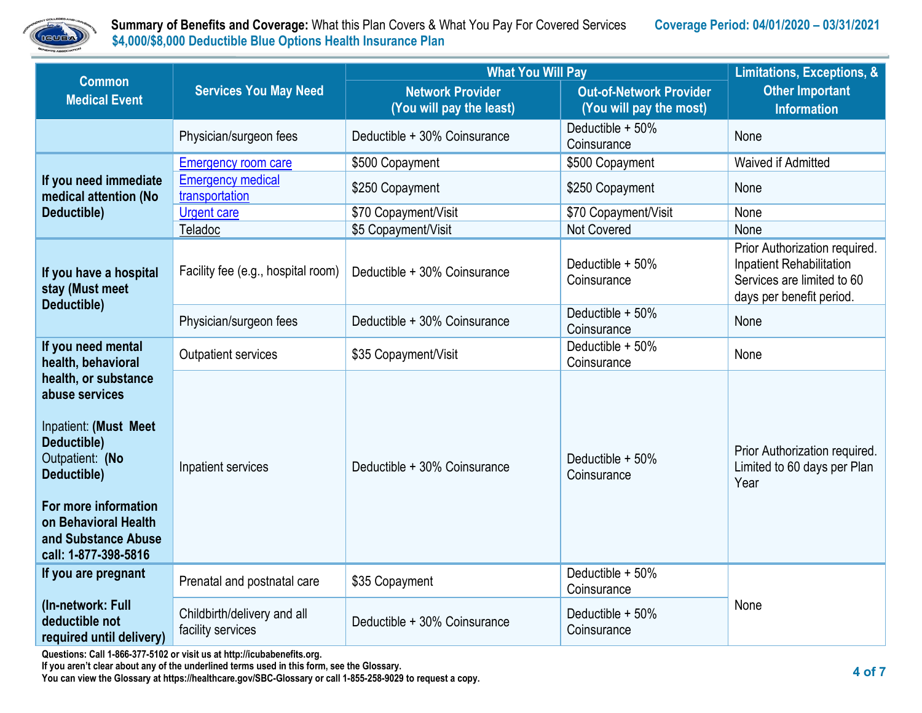

 **Summary of Benefits and Coverage:** What this Plan Covers & What You Pay For Covered Services **Coverage Period: 04/01/2020 – 03/31/2021 \$4,000/\$8,000 Deductible Blue Options Health Insurance Plan** 

| <b>Common</b>                                                                                                                                                                                                                         | <b>Services You May Need</b>                     | <b>What You Will Pay</b>                            | Limitations, Exceptions, &                                |                                                                                                                     |  |
|---------------------------------------------------------------------------------------------------------------------------------------------------------------------------------------------------------------------------------------|--------------------------------------------------|-----------------------------------------------------|-----------------------------------------------------------|---------------------------------------------------------------------------------------------------------------------|--|
| <b>Medical Event</b>                                                                                                                                                                                                                  |                                                  | <b>Network Provider</b><br>(You will pay the least) | <b>Out-of-Network Provider</b><br>(You will pay the most) | <b>Other Important</b><br><b>Information</b>                                                                        |  |
|                                                                                                                                                                                                                                       | Physician/surgeon fees                           | Deductible + 30% Coinsurance                        | Deductible + 50%<br>Coinsurance                           | None                                                                                                                |  |
|                                                                                                                                                                                                                                       | <b>Emergency room care</b>                       | \$500 Copayment                                     | \$500 Copayment                                           | Waived if Admitted                                                                                                  |  |
| If you need immediate<br>medical attention (No                                                                                                                                                                                        | <b>Emergency medical</b><br>transportation       | \$250 Copayment                                     | \$250 Copayment                                           | None                                                                                                                |  |
| Deductible)                                                                                                                                                                                                                           | <b>Urgent care</b>                               | \$70 Copayment/Visit                                | \$70 Copayment/Visit                                      | None                                                                                                                |  |
|                                                                                                                                                                                                                                       | Teladoc                                          | \$5 Copayment/Visit                                 | Not Covered                                               | None                                                                                                                |  |
| If you have a hospital<br>stay (Must meet<br>Deductible)                                                                                                                                                                              | Facility fee (e.g., hospital room)               | Deductible + 30% Coinsurance                        | Deductible + 50%<br>Coinsurance                           | Prior Authorization required.<br>Inpatient Rehabilitation<br>Services are limited to 60<br>days per benefit period. |  |
|                                                                                                                                                                                                                                       | Physician/surgeon fees                           | Deductible + 30% Coinsurance                        | Deductible + 50%<br>Coinsurance                           | None                                                                                                                |  |
| If you need mental<br>health, behavioral                                                                                                                                                                                              | <b>Outpatient services</b>                       | \$35 Copayment/Visit                                | Deductible + 50%<br>Coinsurance                           | None                                                                                                                |  |
| health, or substance<br>abuse services<br>Inpatient: (Must Meet<br>Deductible)<br>Outpatient: (No<br>Inpatient services<br>Deductible)<br>For more information<br>on Behavioral Health<br>and Substance Abuse<br>call: 1-877-398-5816 |                                                  | Deductible + 30% Coinsurance                        | Deductible + 50%<br>Coinsurance                           | Prior Authorization required.<br>Limited to 60 days per Plan<br>Year                                                |  |
| If you are pregnant                                                                                                                                                                                                                   | Prenatal and postnatal care                      | \$35 Copayment                                      | Deductible + 50%<br>Coinsurance                           |                                                                                                                     |  |
| (In-network: Full<br>deductible not<br>required until delivery)                                                                                                                                                                       | Childbirth/delivery and all<br>facility services | Deductible + 30% Coinsurance                        | Deductible + 50%<br>Coinsurance                           | None                                                                                                                |  |

**Questions: Call 1-866-377-5102 or visit us at http://icubabenefits.org.** 

**If you aren't clear about any of the underlined terms used in this form, see the Glossary.**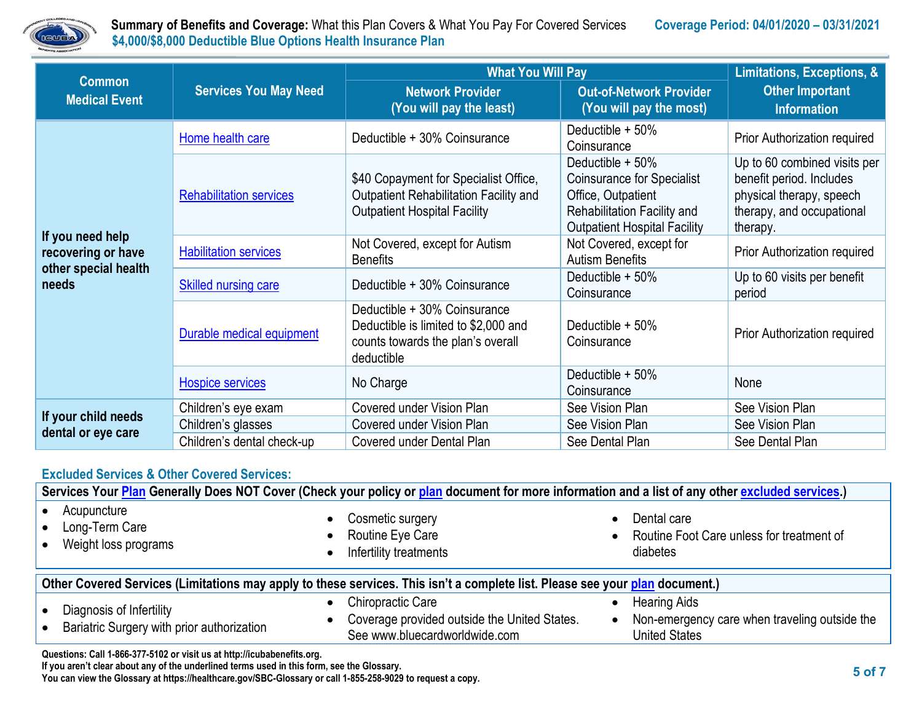

 **Summary of Benefits and Coverage:** What this Plan Covers & What You Pay For Covered Services **Coverage Period: 04/01/2020 – 03/31/2021 \$4,000/\$8,000 Deductible Blue Options Health Insurance Plan** 

| <b>Common</b>                                                           | <b>Services You May Need</b>   | <b>What You Will Pay</b>                                                                                                | Limitations, Exceptions, &                                                                                                                        |                                                                                                                               |
|-------------------------------------------------------------------------|--------------------------------|-------------------------------------------------------------------------------------------------------------------------|---------------------------------------------------------------------------------------------------------------------------------------------------|-------------------------------------------------------------------------------------------------------------------------------|
| <b>Medical Event</b>                                                    |                                | <b>Network Provider</b><br>(You will pay the least)                                                                     | <b>Out-of-Network Provider</b><br>(You will pay the most)                                                                                         | <b>Other Important</b><br><b>Information</b>                                                                                  |
| If you need help<br>recovering or have<br>other special health<br>needs | Home health care               | Deductible + 30% Coinsurance                                                                                            | Deductible + 50%<br>Coinsurance                                                                                                                   | Prior Authorization required                                                                                                  |
|                                                                         | <b>Rehabilitation services</b> | \$40 Copayment for Specialist Office,<br>Outpatient Rehabilitation Facility and<br><b>Outpatient Hospital Facility</b>  | Deductible + 50%<br><b>Coinsurance for Specialist</b><br>Office, Outpatient<br>Rehabilitation Facility and<br><b>Outpatient Hospital Facility</b> | Up to 60 combined visits per<br>benefit period. Includes<br>physical therapy, speech<br>therapy, and occupational<br>therapy. |
|                                                                         | <b>Habilitation services</b>   | Not Covered, except for Autism<br><b>Benefits</b>                                                                       | Not Covered, except for<br><b>Autism Benefits</b>                                                                                                 | Prior Authorization required                                                                                                  |
|                                                                         | Skilled nursing care           | Deductible + 30% Coinsurance                                                                                            | Deductible + 50%<br>Coinsurance                                                                                                                   | Up to 60 visits per benefit<br>period                                                                                         |
|                                                                         | Durable medical equipment      | Deductible + 30% Coinsurance<br>Deductible is limited to \$2,000 and<br>counts towards the plan's overall<br>deductible | Deductible + 50%<br>Coinsurance                                                                                                                   | Prior Authorization required                                                                                                  |
|                                                                         | <b>Hospice services</b>        | No Charge                                                                                                               | Deductible + 50%<br>Coinsurance                                                                                                                   | None                                                                                                                          |
| If your child needs<br>dental or eye care                               | Children's eye exam            | <b>Covered under Vision Plan</b>                                                                                        | See Vision Plan                                                                                                                                   | See Vision Plan                                                                                                               |
|                                                                         | Children's glasses             | Covered under Vision Plan                                                                                               | See Vision Plan                                                                                                                                   | See Vision Plan                                                                                                               |
|                                                                         | Children's dental check-up     | Covered under Dental Plan                                                                                               | See Dental Plan                                                                                                                                   | See Dental Plan                                                                                                               |

### **Excluded Services & Other Covered Services:**

|                                                                                                                              | Services Your Plan Generally Does NOT Cover (Check your policy or plan document for more information and a list of any other excluded services.) |                                                                                                           |  |  |
|------------------------------------------------------------------------------------------------------------------------------|--------------------------------------------------------------------------------------------------------------------------------------------------|-----------------------------------------------------------------------------------------------------------|--|--|
| Acupuncture<br>Long-Term Care<br>Weight loss programs                                                                        | Cosmetic surgery<br>$\bullet$<br>Routine Eye Care<br>$\bullet$<br>Infertility treatments                                                         | Dental care<br>Routine Foot Care unless for treatment of<br>diabetes                                      |  |  |
| Other Covered Services (Limitations may apply to these services. This isn't a complete list. Please see your plan document.) |                                                                                                                                                  |                                                                                                           |  |  |
|                                                                                                                              |                                                                                                                                                  |                                                                                                           |  |  |
| Diagnosis of Infertility<br>Bariatric Surgery with prior authorization                                                       | <b>Chiropractic Care</b><br>Coverage provided outside the United States.<br>See www.bluecardworldwide.com                                        | <b>Hearing Aids</b><br>Non-emergency care when traveling outside the<br>$\bullet$<br><b>United States</b> |  |  |

**If you aren't clear about any of the underlined terms used in this form, see the Glossary.**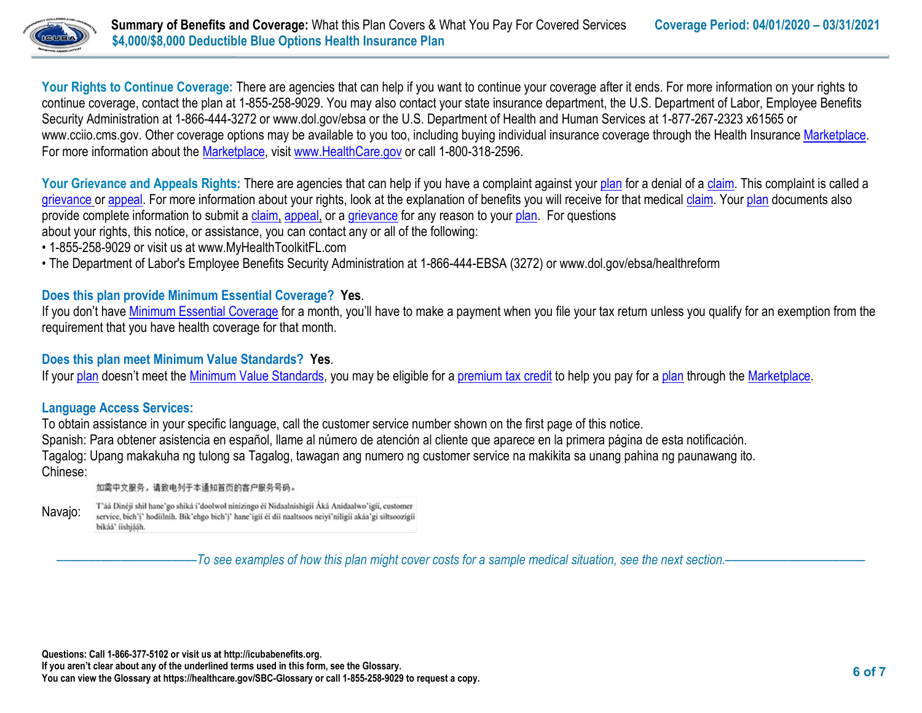

Your Rights to Continue Coverage: There are agencies that can help if you want to continue your coverage after it ends. For more information on your rights to continue coverage, contact the plan at 1-855-258-9029. You may also contact your state insurance department, the U.S. Department of Labor, Employee Benefits Security Administration at 1-866-444-3272 or www.dol.gov/ebsa or the U.S. Department of Health and Human Services at 1-877-267-2323 x61565 or www.cciio.cms.gov. Other coverage options may be available to you too, including buying individual insurance coverage through the Health Insurance [Marketplace.](https://www.healthcare.gov/sbc-glossary/#marketplace) For more information about the [Marketplace,](https://www.healthcare.gov/sbc-glossary/#marketplace) visit [www.HealthCare.gov](http://www.healthcare.gov/) or call 1-800-318-2596.

Your Grievance and Appeals Rights: There are agencies that can help if you have a complaint against you[r plan](https://www.healthcare.gov/sbc-glossary/#plan) for a denial of a [claim.](https://www.healthcare.gov/sbc-glossary/#claim) This complaint is called a [grievance](https://www.healthcare.gov/sbc-glossary/#grievance) or [appeal.](https://www.healthcare.gov/sbc-glossary/#appeal) For more information about your rights, look at the explanation of benefits you will receive for that medica[l claim.](https://www.healthcare.gov/sbc-glossary/#claim) Your [plan](https://www.healthcare.gov/sbc-glossary/#plan) documents also provide complete information to submit a [claim,](https://www.healthcare.gov/sbc-glossary/#claim) [appeal,](https://www.healthcare.gov/sbc-glossary/#appeal) or a [grievance](https://www.healthcare.gov/sbc-glossary/#grievance) for any reason to your [plan.](https://www.healthcare.gov/sbc-glossary/#plan) For questions about your rights, this notice, or assistance, you can contact any or all of the following:

- 1-855-258-9029 or visit us at www.MyHealthToolkitFL.com
- The Department of Labor's Employee Benefits Security Administration at 1-866-444-EBSA (3272) or www.dol.gov/ebsa/healthreform

# **Does this plan provide Minimum Essential Coverage? Yes**.

If you don't have [Minimum Essential Coverage](https://www.healthcare.gov/sbc-glossary/#minimum-essential-coverage) for a month, you'll have to make a payment when you file your tax return unless you qualify for an exemption from the requirement that you have health coverage for that month.

### **Does this plan meet Minimum Value Standards? Yes**.

If your [plan](https://www.healthcare.gov/sbc-glossary/#plan) doesn't meet the [Minimum Value Standards,](https://www.healthcare.gov/sbc-glossary/#minimum-value-standard) you may be eligible for a [premium tax credit](https://www.healthcare.gov/sbc-glossary/#premium-tax-credits) to help you pay for a plan through the [Marketplace.](https://www.healthcare.gov/sbc-glossary/#marketplace)

### **Language Access Services:**

To obtain assistance in your specific language, call the customer service number shown on the first page of this notice. Spanish: Para obtener asistencia en español, llame al número de atención al cliente que aparece en la primera página de esta notificación. Tagalog: Upang makakuha ng tulong sa Tagalog, tawagan ang numero ng customer service na makikita sa unang pahina ng paunawang ito. Chinese:

如需中文服务,请致电列于本通知首页的客户服务号码。

T'áá Dinéji shil hane'go shiká i'doolwol ninizingo éi Nidaalnishigii Áká Anidaalwo'igii, customer Navajo: service, bich'i' hodiilnih. Bik'ehgo bich'i' hane'igii éi dii naaltsoos neiyi'niligii akáa'gi siłtsoozigii bikáá' ííshjááh.

––––––––––––––––––––––*To see examples of how this plan might cover costs for a sample medical situation, see the next section.–––––––––––*–––––––––––

**Questions: Call 1-866-377-5102 or visit us at http://icubabenefits.org.** 

**If you aren't clear about any of the underlined terms used in this form, see the Glossary.**